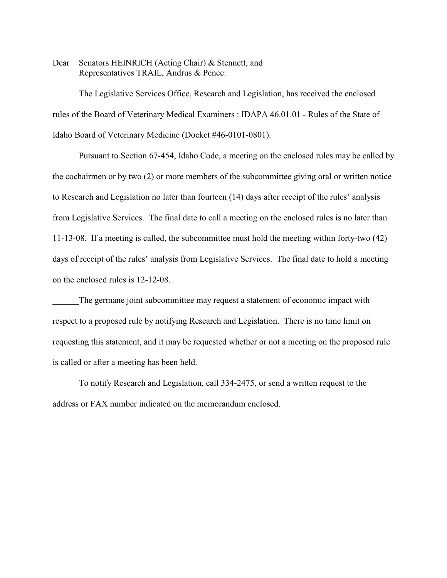Dear Senators HEINRICH (Acting Chair) & Stennett, and Representatives TRAIL, Andrus & Pence:

The Legislative Services Office, Research and Legislation, has received the enclosed rules of the Board of Veterinary Medical Examiners : IDAPA 46.01.01 - Rules of the State of Idaho Board of Veterinary Medicine (Docket #46-0101-0801).

Pursuant to Section 67-454, Idaho Code, a meeting on the enclosed rules may be called by the cochairmen or by two (2) or more members of the subcommittee giving oral or written notice to Research and Legislation no later than fourteen (14) days after receipt of the rules' analysis from Legislative Services. The final date to call a meeting on the enclosed rules is no later than 11-13-08. If a meeting is called, the subcommittee must hold the meeting within forty-two (42) days of receipt of the rules' analysis from Legislative Services. The final date to hold a meeting on the enclosed rules is 12-12-08.

The germane joint subcommittee may request a statement of economic impact with respect to a proposed rule by notifying Research and Legislation. There is no time limit on requesting this statement, and it may be requested whether or not a meeting on the proposed rule is called or after a meeting has been held.

To notify Research and Legislation, call 334-2475, or send a written request to the address or FAX number indicated on the memorandum enclosed.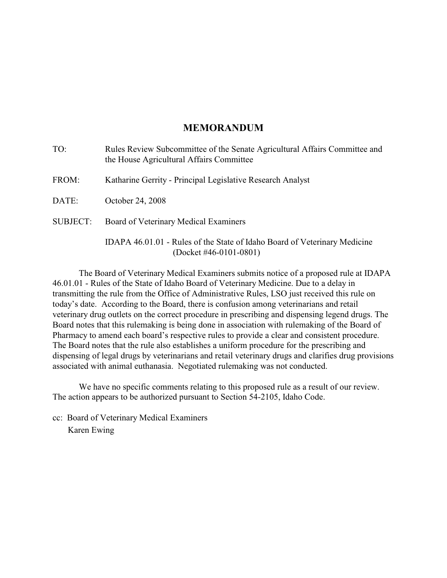## **MEMORANDUM**

| TO:             | Rules Review Subcommittee of the Senate Agricultural Affairs Committee and<br>the House Agricultural Affairs Committee |
|-----------------|------------------------------------------------------------------------------------------------------------------------|
| FROM:           | Katharine Gerrity - Principal Legislative Research Analyst                                                             |
| DATE:           | October 24, 2008                                                                                                       |
| <b>SUBJECT:</b> | Board of Veterinary Medical Examiners                                                                                  |
|                 | IDAPA 46.01.01 - Rules of the State of Idaho Board of Veterinary Medicine<br>(Docket #46-0101-0801)                    |

The Board of Veterinary Medical Examiners submits notice of a proposed rule at IDAPA 46.01.01 - Rules of the State of Idaho Board of Veterinary Medicine. Due to a delay in transmitting the rule from the Office of Administrative Rules, LSO just received this rule on today's date. According to the Board, there is confusion among veterinarians and retail veterinary drug outlets on the correct procedure in prescribing and dispensing legend drugs. The Board notes that this rulemaking is being done in association with rulemaking of the Board of Pharmacy to amend each board's respective rules to provide a clear and consistent procedure. The Board notes that the rule also establishes a uniform procedure for the prescribing and dispensing of legal drugs by veterinarians and retail veterinary drugs and clarifies drug provisions associated with animal euthanasia. Negotiated rulemaking was not conducted.

We have no specific comments relating to this proposed rule as a result of our review. The action appears to be authorized pursuant to Section 54-2105, Idaho Code.

cc: Board of Veterinary Medical Examiners Karen Ewing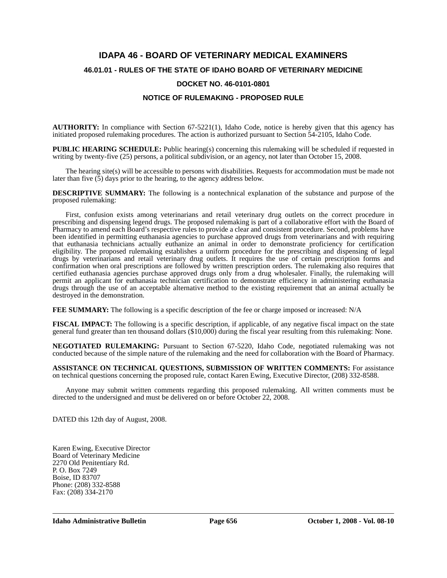# **IDAPA 46 - BOARD OF VETERINARY MEDICAL EXAMINERS 46.01.01 - RULES OF THE STATE OF IDAHO BOARD OF VETERINARY MEDICINE DOCKET NO. 46-0101-0801**

## **NOTICE OF RULEMAKING - PROPOSED RULE**

**AUTHORITY:** In compliance with Section 67-5221(1), Idaho Code, notice is hereby given that this agency has initiated proposed rulemaking procedures. The action is authorized pursuant to Section 54-2105, Idaho Code.

**PUBLIC HEARING SCHEDULE:** Public hearing(s) concerning this rulemaking will be scheduled if requested in writing by twenty-five (25) persons, a political subdivision, or an agency, not later than October 15, 2008.

The hearing site(s) will be accessible to persons with disabilities. Requests for accommodation must be made not later than five  $(5)$  days prior to the hearing, to the agency address below.

**DESCRIPTIVE SUMMARY:** The following is a nontechnical explanation of the substance and purpose of the proposed rulemaking:

First, confusion exists among veterinarians and retail veterinary drug outlets on the correct procedure in prescribing and dispensing legend drugs. The proposed rulemaking is part of a collaborative effort with the Board of Pharmacy to amend each Board's respective rules to provide a clear and consistent procedure. Second, problems have been identified in permitting euthanasia agencies to purchase approved drugs from veterinarians and with requiring that euthanasia technicians actually euthanize an animal in order to demonstrate proficiency for certification eligibility. The proposed rulemaking establishes a uniform procedure for the prescribing and dispensing of legal drugs by veterinarians and retail veterinary drug outlets. It requires the use of certain prescription forms and confirmation when oral prescriptions are followed by written prescription orders. The rulemaking also requires that certified euthanasia agencies purchase approved drugs only from a drug wholesaler. Finally, the rulemaking will permit an applicant for euthanasia technician certification to demonstrate efficiency in administering euthanasia drugs through the use of an acceptable alternative method to the existing requirement that an animal actually be destroyed in the demonstration.

**FEE SUMMARY:** The following is a specific description of the fee or charge imposed or increased: N/A

**FISCAL IMPACT:** The following is a specific description, if applicable, of any negative fiscal impact on the state general fund greater than ten thousand dollars (\$10,000) during the fiscal year resulting from this rulemaking: None.

**NEGOTIATED RULEMAKING:** Pursuant to Section 67-5220, Idaho Code, negotiated rulemaking was not conducted because of the simple nature of the rulemaking and the need for collaboration with the Board of Pharmacy.

**ASSISTANCE ON TECHNICAL QUESTIONS, SUBMISSION OF WRITTEN COMMENTS:** For assistance on technical questions concerning the proposed rule, contact Karen Ewing, Executive Director, (208) 332-8588.

Anyone may submit written comments regarding this proposed rulemaking. All written comments must be directed to the undersigned and must be delivered on or before October 22, 2008.

DATED this 12th day of August, 2008.

Karen Ewing, Executive Director Board of Veterinary Medicine 2270 Old Penitentiary Rd. P. O. Box 7249 Boise, ID 83707 Phone: (208) 332-8588 Fax: (208) 334-2170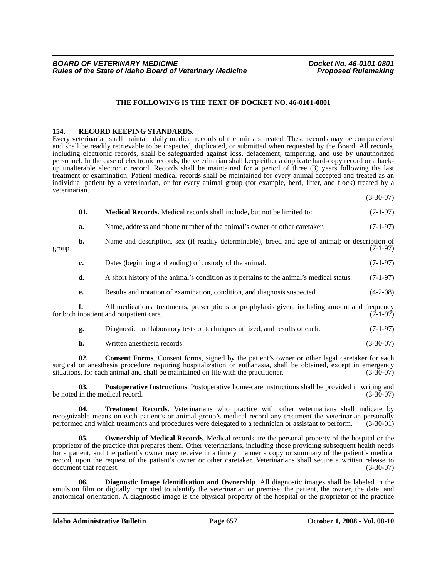#### **THE FOLLOWING IS THE TEXT OF DOCKET NO. 46-0101-0801**

#### **154. RECORD KEEPING STANDARDS.**

Every veterinarian shall maintain daily medical records of the animals treated. These records may be computerized and shall be readily retrievable to be inspected, duplicated, or submitted when requested by the Board. All records, including electronic records, shall be safeguarded against loss, defacement, tampering, and use by unauthorized personnel. In the case of electronic records, the veterinarian shall keep either a duplicate hard-copy record or a backup unalterable electronic record. Records shall be maintained for a period of three (3) years following the last treatment or examination. Patient medical records shall be maintained for every animal accepted and treated as an individual patient by a veterinarian, or for every animal group (for example, herd, litter, and flock) treated by a veterinarian.

(3-30-07)

|        | 01. | <b>Medical Records.</b> Medical records shall include, but not be limited to:                                                              | $(7-1-97)$ |
|--------|-----|--------------------------------------------------------------------------------------------------------------------------------------------|------------|
|        | a.  | Name, address and phone number of the animal's owner or other caretaker.                                                                   | $(7-1-97)$ |
| group. | b.  | Name and description, sex (if readily determinable), breed and age of animal; or description of                                            | $(7-1-97)$ |
|        | c.  | Dates (beginning and ending) of custody of the animal.                                                                                     | $(7-1-97)$ |
|        | d.  | A short history of the animal's condition as it pertains to the animal's medical status.                                                   | $(7-1-97)$ |
|        | e.  | Results and notation of examination, condition, and diagnosis suspected.                                                                   | $(4-2-08)$ |
|        |     | All medications, treatments, prescriptions or prophylaxis given, including amount and frequency<br>for both inpatient and outpatient care. | $(7-1-97)$ |
|        | g.  | Diagnostic and laboratory tests or techniques utilized, and results of each.                                                               | $(7-1-97)$ |

**h.** Written anesthesia records. (3-30-07)

**02.** Consent Forms. Consent forms, signed by the patient's owner or other legal caretaker for each surgical or anesthesia procedure requiring hospitalization or euthanasia, shall be obtained, except in emergency<br>situations, for each animal and shall be maintained on file with the practitioner. (3-30-07) situations, for each animal and shall be maintained on file with the practitioner.

**03. Postoperative Instructions**. Postoperative home-care instructions shall be provided in writing and be noted in the medical record. (3-30-07)

**04. Treatment Records**. Veterinarians who practice with other veterinarians shall indicate by recognizable means on each patient's or animal group's medical record any treatment the veterinarian personally performed and which treatments and procedures were delegated to a technician or assistant to perform. (3-30-01)

**05. Ownership of Medical Records**. Medical records are the personal property of the hospital or the proprietor of the practice that prepares them. Other veterinarians, including those providing subsequent health needs for a patient, and the patient's owner may receive in a timely manner a copy or summary of the patient's medical record, upon the request of the patient's owner or other caretaker. Veterinarians shall secure a written release to document that request. (3-30-07)

**06. Diagnostic Image Identification and Ownership**. All diagnostic images shall be labeled in the emulsion film or digitally imprinted to identify the veterinarian or premise, the patient, the owner, the date, and anatomical orientation. A diagnostic image is the physical property of the hospital or the proprietor of the practice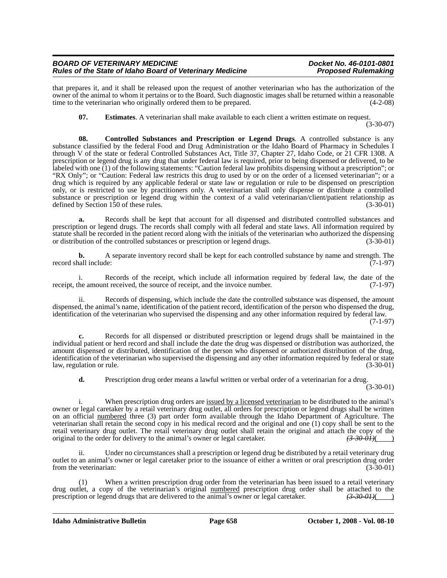#### *BOARD OF VETERINARY MEDICINE Docket No. 46-0101-0801 Rules of the State of Idaho Board of Veterinary Medicine*

that prepares it, and it shall be released upon the request of another veterinarian who has the authorization of the owner of the animal to whom it pertains or to the Board. Such diagnostic images shall be returned within a reasonable time to the veterinarian who originally ordered them to be prepared. (4-2-08)

**07.** Estimates. A veterinarian shall make available to each client a written estimate on request.

(3-30-07)

**08. Controlled Substances and Prescription or Legend Drugs**. A controlled substance is any substance classified by the federal Food and Drug Administration or the Idaho Board of Pharmacy in Schedules I through V of the state or federal Controlled Substances Act, Title 37, Chapter 27, Idaho Code, or 21 CFR 1308. A prescription or legend drug is any drug that under federal law is required, prior to being dispensed or delivered, to be labeled with one (1) of the following statements: "Caution federal law prohibits dispensing without a prescription"; or "RX Only"; or "Caution: Federal law restricts this drug to used by or on the order of a licensed veterinarian"; or a drug which is required by any applicable federal or state law or regulation or rule to be dispensed on prescription only, or is restricted to use by practitioners only. A veterinarian shall only dispense or distribute a controlled substance or prescription or legend drug within the context of a valid veterinarian/client/patient relationship as defined by Section 150 of these rules. (3-30-01) defined by Section  $150$  of these rules.

**a.** Records shall be kept that account for all dispensed and distributed controlled substances and prescription or legend drugs. The records shall comply with all federal and state laws. All information required by statute shall be recorded in the patient record along with the initials of the veterinarian who authorized the dispensing<br>or distribution of the controlled substances or prescription or legend drugs. (3-30-01) or distribution of the controlled substances or prescription or legend drugs.

**b.** A separate inventory record shall be kept for each controlled substance by name and strength. The record shall include:  $(7-1-97)$ 

i. Records of the receipt, which include all information required by federal law, the date of the amount received, the source of receipt, and the invoice number. (7-1-97) receipt, the amount received, the source of receipt, and the invoice number.

ii. Records of dispensing, which include the date the controlled substance was dispensed, the amount dispensed, the animal's name, identification of the patient record, identification of the person who dispensed the drug, identification of the veterinarian who supervised the dispensing and any other information required by federal law.

(7-1-97)

**c.** Records for all dispensed or distributed prescription or legend drugs shall be maintained in the individual patient or herd record and shall include the date the drug was dispensed or distribution was authorized, the amount dispensed or distributed, identification of the person who dispensed or authorized distribution of the drug, identification of the veterinarian who supervised the dispensing and any other information required by federal or state law, regulation or rule. (3-30-01)

**d.** Prescription drug order means a lawful written or verbal order of a veterinarian for a drug.

(3-30-01)

i. When prescription drug orders are issued by a licensed veterinarian to be distributed to the animal's owner or legal caretaker by a retail veterinary drug outlet, all orders for prescription or legend drugs shall be written on an official numbered three (3) part order form available through the Idaho Department of Agriculture. The veterinarian shall retain the second copy in his medical record and the original and one (1) copy shall be sent to the retail veterinary drug outlet. The retail veterinary drug outlet shall retain the original and attach the copy of the original to the order for delivery to the animal's owner or legal caretaker.  $\left(3-30-0.01\right)$ original to the order for delivery to the animal's owner or legal caretaker.

ii. Under no circumstances shall a prescription or legend drug be distributed by a retail veterinary drug outlet to an animal's owner or legal caretaker prior to the issuance of either a written or oral prescription drug order from the veterinarian: (3-30-01) (3-30-01)

(1) When a written prescription drug order from the veterinarian has been issued to a retail veterinary drug outlet, a copy of the veterinarian's original <u>numbered</u> prescription drug order shall be attached to the prescription or legend drugs that are delivered to the animal's owner or legal caretaker.  $\left(3-30-0.01\right)$ prescription or legend drugs that are delivered to the animal's owner or legal caretaker.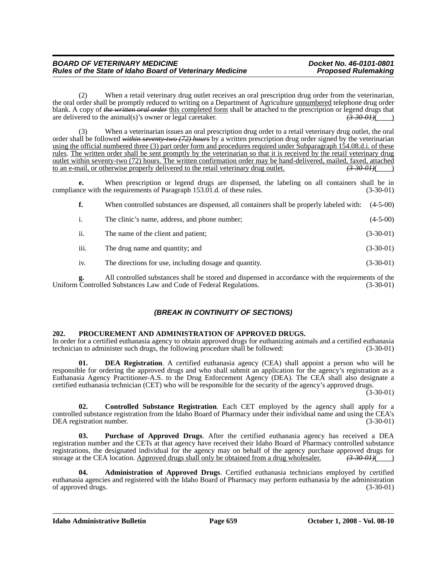(2) When a retail veterinary drug outlet receives an oral prescription drug order from the veterinarian, the oral order shall be promptly reduced to writing on a Department of Agriculture unnumbered telephone drug order blank. A copy of *the written oral order* this completed form shall be attached to the prescription or legend drugs that are delivered to the animal(s)'s owner or legal caretaker. are delivered to the animal(s)'s owner or legal caretaker.

When a veterinarian issues an oral prescription drug order to a retail veterinary drug outlet, the oral order shall be followed *within seventy-two (72) hours* by a written prescription drug order signed by the veterinarian using the official numbered three (3) part order form and procedures required under Subparagraph 154.08.d.i. of these rules. The written order shall be sent promptly by the veterinarian so that it is received by the retail veterinary drug <u>outlet within seventy-two (72) hours. The written confirmation order may be hand-delivered, mailed, faxed, attached to an e-mail, or otherwise properly delivered to the retail veterinary drug outlet.  $\left(3\text{-}30\text{-}01\right)$ to an e-mail, or otherwise properly delivered to the retail veterinary drug outlet.

**e.** When prescription or legend drugs are dispensed, the labeling on all containers shall be in compliance with the requirements of Paragraph 153.01.d. of these rules. (3-30-01)

|                |      | When controlled substances are dispensed, all containers shall be properly labeled with: | $(4-5-00)$  |
|----------------|------|------------------------------------------------------------------------------------------|-------------|
| $\mathbf{1}$ . |      | The clinic's name, address, and phone number;                                            | $(4-5-00)$  |
| ii.            |      | The name of the client and patient;                                                      | $(3-30-01)$ |
|                | iii. | The drug name and quantity; and                                                          | $(3-30-01)$ |
|                | 1V.  | The directions for use, including dosage and quantity.                                   | $(3-30-01)$ |

All controlled substances shall be stored and dispensed in accordance with the requirements of the ed Substances Law and Code of Federal Regulations. (3-30-01) Uniform Controlled Substances Law and Code of Federal Regulations.

## *(BREAK IN CONTINUITY OF SECTIONS)*

### **202. PROCUREMENT AND ADMINISTRATION OF APPROVED DRUGS.**

In order for a certified euthanasia agency to obtain approved drugs for euthanizing animals and a certified euthanasia technician to administer such drugs, the following procedure shall be followed:

**01. DEA Registration**. A certified euthanasia agency (CEA) shall appoint a person who will be responsible for ordering the approved drugs and who shall submit an application for the agency's registration as a Euthanasia Agency Practitioner-A.S. to the Drug Enforcement Agency (DEA). The CEA shall also designate a certified euthanasia technician (CET) who will be responsible for the security of the agency's approved drugs.

 $(3-30-01)$ 

**02. Controlled Substance Registration**. Each CET employed by the agency shall apply for a controlled substance registration from the Idaho Board of Pharmacy under their individual name and using the CEA's DEA registration number. (3-30-01)

**03. Purchase of Approved Drugs**. After the certified euthanasia agency has received a DEA registration number and the CETs at that agency have received their Idaho Board of Pharmacy controlled substance registrations, the designated individual for the agency may on behalf of the agency purchase approved drugs for storage at the CEA location. Approved drugs shall only be obtained from a drug wholesaler.  $\left(3-30-01\right)$ storage at the CEA location. Approved drugs shall only be obtained from a drug wholesaler.

**04. Administration of Approved Drugs**. Certified euthanasia technicians employed by certified euthanasia agencies and registered with the Idaho Board of Pharmacy may perform euthanasia by the administration of approved drugs. (3-30-01)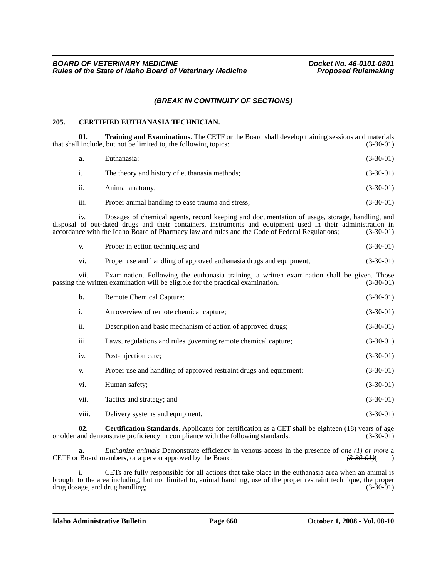## *(BREAK IN CONTINUITY OF SECTIONS)*

#### **205. CERTIFIED EUTHANASIA TECHNICIAN.**

**01. Training and Examinations**. The CETF or the Board shall develop training sessions and materials that shall include, but not be limited to, the following topics: (3-30-01)

| а.   | Euthanasia:                                       | $(3-30-01)$ |
|------|---------------------------------------------------|-------------|
| i.   | The theory and history of euthanasia methods;     | $(3-30-01)$ |
| ii.  | Animal anatomy:                                   | $(3-30-01)$ |
| iii. | Proper animal handling to ease trauma and stress; | $(3-30-01)$ |

iv. Dosages of chemical agents, record keeping and documentation of usage, storage, handling, and disposal of out-dated drugs and their containers, instruments and equipment used in their administration in accordance with the Idaho Board of Pharmacy law and rules and the Code of Federal Regulations; (3-30-01)

| Proper injection techniques: and | $(3-30-01)$ |
|----------------------------------|-------------|
|                                  |             |

| vi. | Proper use and handling of approved euthanasia drugs and equipment; | $(3-30-01)$ |
|-----|---------------------------------------------------------------------|-------------|
|     |                                                                     |             |

vii. Examination. Following the euthanasia training, a written examination shall be given. Those passing the written examination will be eligible for the practical examination. (3-30-01)

| b.    | Remote Chemical Capture:                                           | $(3-30-01)$ |
|-------|--------------------------------------------------------------------|-------------|
| i.    | An overview of remote chemical capture;                            | $(3-30-01)$ |
| ii.   | Description and basic mechanism of action of approved drugs;       | $(3-30-01)$ |
| iii.  | Laws, regulations and rules governing remote chemical capture;     | $(3-30-01)$ |
| iv.   | Post-injection care;                                               | $(3-30-01)$ |
| V.    | Proper use and handling of approved restraint drugs and equipment; | $(3-30-01)$ |
| vi.   | Human safety:                                                      | $(3-30-01)$ |
| vii.  | Tactics and strategy; and                                          | $(3-30-01)$ |
| viii. | Delivery systems and equipment.                                    | $(3-30-01)$ |

**02. Certification Standards**. Applicants for certification as a CET shall be eighteen (18) years of age and demonstrate proficiency in compliance with the following standards. (3-30-01) or older and demonstrate proficiency in compliance with the following standards.

**a.** *Euthanize animals* Demonstrate efficiency in venous access in the presence of *one (1) or more* a CETF or Board member*s*, or a person approved by the Board: *(3-30-01)*( )

i. CETs are fully responsible for all actions that take place in the euthanasia area when an animal is brought to the area including, but not limited to, animal handling, use of the proper restraint technique, the proper drug dosage, and drug handling; (3-30-01)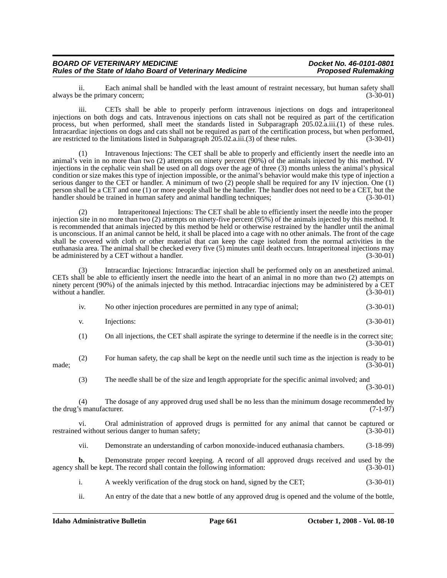ii. Each animal shall be handled with the least amount of restraint necessary, but human safety shall always be the primary concern;

iii. CETs shall be able to properly perform intravenous injections on dogs and intraperitoneal injections on both dogs and cats. Intravenous injections on cats shall not be required as part of the certification process, but when performed, shall meet the standards listed in Subparagraph 205.02.a.iii.(1) of these rules. Intracardiac injections on dogs and cats shall not be required as part of the certification process, but when performed, are restricted to the limitations listed in Subparagraph 205.02.a.iii.(3) of these rules. (3-30-01)

(1) Intravenous Injections: The CET shall be able to properly and efficiently insert the needle into an animal's vein in no more than two (2) attempts on ninety percent (90%) of the animals injected by this method. IV injections in the cephalic vein shall be used on all dogs over the age of three (3) months unless the animal's physical condition or size makes this type of injection impossible, or the animal's behavior would make this type of injection a serious danger to the CET or handler. A minimum of two (2) people shall be required for any IV injection. One (1) person shall be a CET and one (1) or more people shall be the handler. The handler does not need to be a CET, but the handler should be trained in human safety and animal handling techniques; (3-30-01)

(2) Intraperitoneal Injections: The CET shall be able to efficiently insert the needle into the proper injection site in no more than two (2) attempts on ninety-five percent (95%) of the animals injected by this method. It is recommended that animals injected by this method be held or otherwise restrained by the handler until the animal is unconscious. If an animal cannot be held, it shall be placed into a cage with no other animals. The front of the cage shall be covered with cloth or other material that can keep the cage isolated from the normal activities in the euthanasia area. The animal shall be checked every five (5) minutes until death occurs. Intraperitoneal injections may be administered by a CET without a handler. (3-30-01)

(3) Intracardiac Injections: Intracardiac injection shall be performed only on an anesthetized animal. CETs shall be able to efficiently insert the needle into the heart of an animal in no more than two (2) attempts on ninety percent (90%) of the animals injected by this method. Intracardiac injections may be administered by a CET without a handler. (3-30-01)

| 1V. | No other injection procedures are permitted in any type of animal; |  | $(3-30-01)$ |
|-----|--------------------------------------------------------------------|--|-------------|
|     |                                                                    |  |             |

- v. Injections:  $(3-30-01)$
- (1) On all injections, the CET shall aspirate the syringe to determine if the needle is in the correct site; (3-30-01)

(2) For human safety, the cap shall be kept on the needle until such time as the injection is ready to be made; (3-30-01)

(3) The needle shall be of the size and length appropriate for the specific animal involved; and (3-30-01)

(4) The dosage of any approved drug used shall be no less than the minimum dosage recommended by the drug's manufacturer.

vi. Oral administration of approved drugs is permitted for any animal that cannot be captured or restrained without serious danger to human safety; (3-30-01)

vii. Demonstrate an understanding of carbon monoxide-induced euthanasia chambers. (3-18-99)

**b.** Demonstrate proper record keeping. A record of all approved drugs received and used by the agency shall be kept. The record shall contain the following information: (3-30-01)

i. A weekly verification of the drug stock on hand, signed by the CET; (3-30-01)

ii. An entry of the date that a new bottle of any approved drug is opened and the volume of the bottle,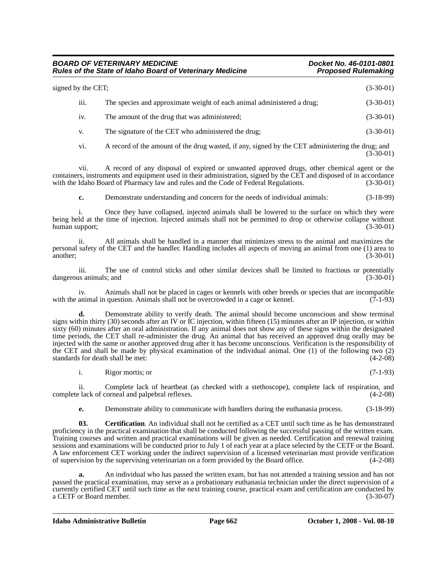### *BOARD OF VETERINARY MEDICINE Docket No. 46-0101-0801 Rules of the State of Idaho Board of Veterinary Medicine*

| signed by the CET; |                  | $(3-30-01)$                                                            |             |
|--------------------|------------------|------------------------------------------------------------------------|-------------|
|                    | $\cdots$<br>111. | The species and approximate weight of each animal administered a drug; | $(3-30-01)$ |
|                    | 1V.              | The amount of the drug that was administered;                          | $(3-30-01)$ |
|                    | V.               | The signature of the CET who administered the drug;                    | $(3-30-01)$ |

vi. A record of the amount of the drug wasted, if any, signed by the CET administering the drug; and (3-30-01)

vii. A record of any disposal of expired or unwanted approved drugs, other chemical agent or the containers, instruments and equipment used in their administration, signed by the CET and disposed of in accordance with the Idaho Board of Pharmacy law and rules and the Code of Federal Regulations. (3-30-01)

**c.** Demonstrate understanding and concern for the needs of individual animals: (3-18-99)

i. Once they have collapsed, injected animals shall be lowered to the surface on which they were being held at the time of injection. Injected animals shall not be permitted to drop or otherwise collapse without human support; (3-30-01)

ii. All animals shall be handled in a manner that minimizes stress to the animal and maximizes the personal safety of the CET and the handler. Handling includes all aspects of moving an animal from one (1) area to another; (3-30-01)

iii. The use of control sticks and other similar devices shall be limited to fractious or potentially dangerous animals; and (3-30-01) (3-30-01)

iv. Animals shall not be placed in cages or kennels with other breeds or species that are incompatible with the animal in question. Animals shall not be overcrowded in a cage or kennel. (7-1-93)

**d.** Demonstrate ability to verify death. The animal should become unconscious and show terminal signs within thirty (30) seconds after an IV or IC injection, within fifteen (15) minutes after an IP injection, or within sixty (60) minutes after an oral administration. If any animal does not show any of these signs within the designated time periods, the CET shall re-administer the drug. An animal that has received an approved drug orally may be injected with the same or another approved drug after it has become unconscious. Verification is the responsibility of the CET and shall be made by physical examination of the individual animal. One (1) of the following two (2) standards for death shall be met: (4-2-08)

i. Rigor mortis; or (7-1-93)

ii. Complete lack of heartbeat (as checked with a stethoscope), complete lack of respiration, and complete lack of corneal and palpebral reflexes. (4-2-08)

**e.** Demonstrate ability to communicate with handlers during the euthanasia process.  $(3-18-99)$ 

**03.** Certification. An individual shall not be certified as a CET until such time as he has demonstrated proficiency in the practical examination that shall be conducted following the successful passing of the written exam. Training courses and written and practical examinations will be given as needed. Certification and renewal training sessions and examinations will be conducted prior to July 1 of each year at a place selected by the CETF or the Board. A law enforcement CET working under the indirect supervision of a licensed veterinarian must provide verification of supervision by the supervising veterinarian on a form provided by the Board office. (4-2-08)

**a.** An individual who has passed the written exam, but has not attended a training session and has not passed the practical examination, may serve as a probationary euthanasia technician under the direct supervision of a currently certified CET until such time as the next training course, practical exam and certification are conducted by a CETF or Board member. (3-30-07)